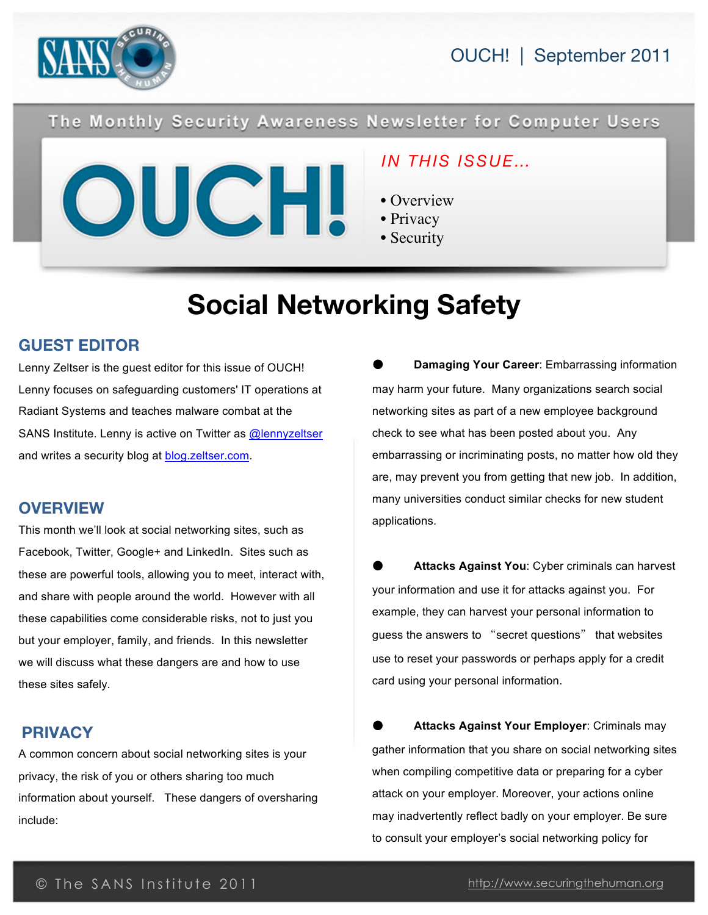



### The Monthly Security Awareness Newsletter for Computer Users



### *IN THIS ISSUE…*

- Overview
- Privacy
- **Security**

# **Social Networking Safety**

### **GUEST EDITOR**

Lenny Zeltser is the guest editor for this issue of OUCH! Lenny focuses on safeguarding customers' IT operations at Radiant Systems and teaches malware combat at the SANS Institute. Lenny is active on Twitter as [@lennyzeltser](http://twitter.com/#!/lennyzeltser) and writes a security blog at [blog.zeltser.com](http://blog.zeltser.com/).

#### **OVERVIEW**

This month we'll look at social networking sites, such as Facebook, Twitter, Google+ and LinkedIn. Sites such as these are powerful tools, allowing you to meet, interact with, and share with people around the world. However with all these capabilities come considerable risks, not to just you but your employer, family, and friends. In this newsletter we will discuss what these dangers are and how to use these sites safely.

### **PRIVACY**

A common concern about social networking sites is your privacy, the risk of you or others sharing too much information about yourself. These dangers of oversharing include:

**Damaging Your Career: Embarrassing information** may harm your future. Many organizations search social networking sites as part of a new employee background check to see what has been posted about you. Any embarrassing or incriminating posts, no matter how old they are, may prevent you from getting that new job. In addition, many universities conduct similar checks for new student applications.

Attacks Against You: Cyber criminals can harvest your information and use it for attacks against you. For example, they can harvest your personal information to guess the answers to "secret questions" that websites use to reset your passwords or perhaps apply for a credit card using your personal information.

**Attacks Against Your Employer: Criminals may** gather information that you share on social networking sites when compiling competitive data or preparing for a cyber attack on your employer. Moreover, your actions online may inadvertently reflect badly on your employer. Be sure to consult your employer's social networking policy for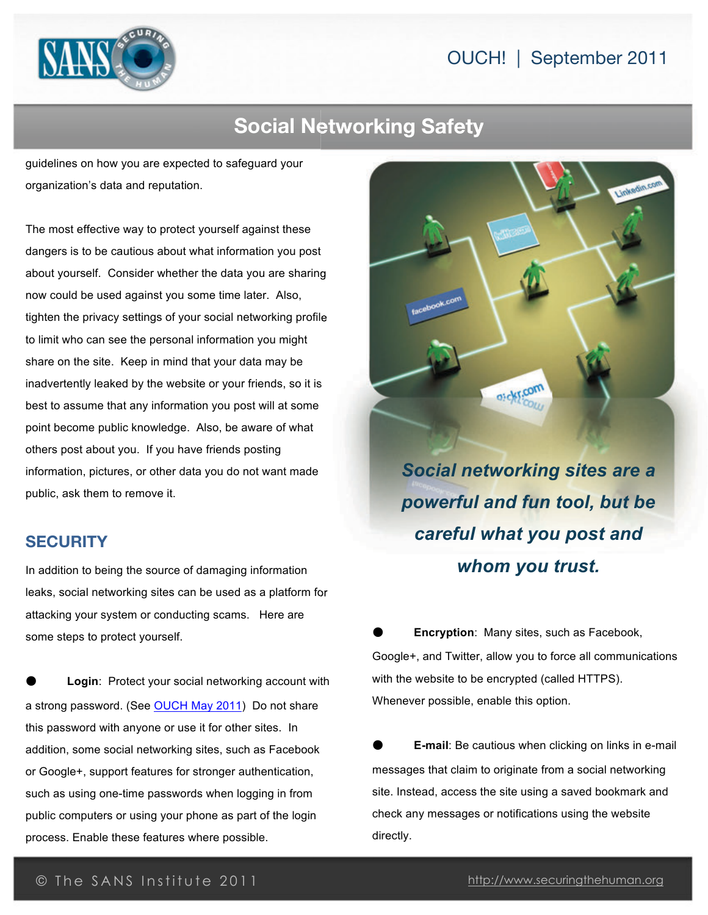### OUCH! | September 2011



# **Social Networking Safety**

guidelines on how you are expected to safeguard your organization's data and reputation.

The most effective way to protect yourself against these dangers is to be cautious about what information you post about yourself. Consider whether the data you are sharing now could be used against you some time later. Also, tighten the privacy settings of your social networking profile to limit who can see the personal information you might share on the site. Keep in mind that your data may be inadvertently leaked by the website or your friends, so it is best to assume that any information you post will at some point become public knowledge. Also, be aware of what others post about you. If you have friends posting information, pictures, or other data you do not want made public, ask them to remove it.

### **SECURITY**

In addition to being the source of damaging information leaks, social networking sites can be used as a platform for attacking your system or conducting scams. Here are some steps to protect yourself.

 **Login**: Protect your social networking account with a strong password. (See OUCH May 2011) Do not share this password with anyone or use it for other sites. In addition, some social networking sites, such as Facebook or Google+, support features for stronger authentication, such as using one-time passwords when logging in from public computers or using your phone as part of the login process. Enable these features where possible.



*Social networking sites are a powerful and fun tool, but be careful what you post and whom you trust.*

 **Encryption**: Many sites, such as Facebook, Google+, and Twitter, allow you to force all communications with the website to be encrypted (called HTTPS). Whenever possible, enable this option.

 **E-mail**: Be cautious when clicking on links in e-mail messages that claim to originate from a social networking site. Instead, access the site using a saved bookmark and check any messages or notifications using the website directly.